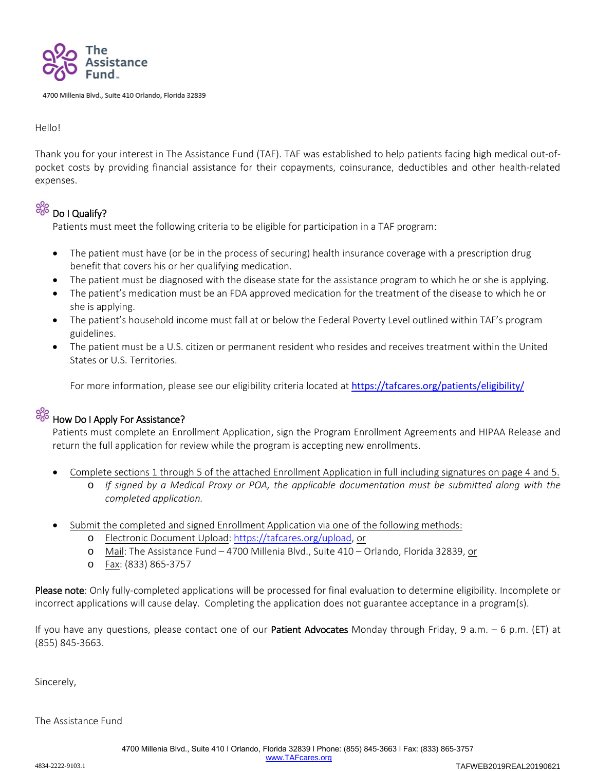

4700 Millenia Blvd., Suite 410 Orlando, Florida 32839

Hello!

Thank you for your interest in The Assistance Fund (TAF). TAF was established to help patients facing high medical out-ofpocket costs by providing financial assistance for their copayments, coinsurance, deductibles and other health-related expenses.

### $9\%$

### Do I Qualify?

Patients must meet the following criteria to be eligible for participation in a TAF program:

- The patient must have (or be in the process of securing) health insurance coverage with a prescription drug benefit that covers his or her qualifying medication.
- The patient must be diagnosed with the disease state for the assistance program to which he or she is applying.
- The patient's medication must be an FDA approved medication for the treatment of the disease to which he or she is applying.
- The patient's household income must fall at or below the Federal Poverty Level outlined within TAF's program guidelines.
- The patient must be a U.S. citizen or permanent resident who resides and receives treatment within the United States or U.S. Territories.

For more information, please see our eligibility criteria located at <https://tafcares.org/patients/eligibility/>



### How Do I Apply For Assistance?

Patients must complete an Enrollment Application, sign the Program Enrollment Agreements and HIPAA Release and return the full application for review while the program is accepting new enrollments.

- Complete sections 1 through 5 of the attached Enrollment Application in full including signatures on page 4 and 5.
	- o *If signed by a Medical Proxy or POA, the applicable documentation must be submitted along with the completed application.*
- Submit the completed and signed Enrollment Application via one of the following methods:
	- o Electronic Document Upload: [https://tafcares.org/upload,](https://tafcares.org/upload) or
	- o Mail: The Assistance Fund 4700 Millenia Blvd., Suite 410 Orlando, Florida 32839, or
	- o Fax: (833) 865-3757

Please note: Only fully-completed applications will be processed for final evaluation to determine eligibility. Incomplete or incorrect applications will cause delay. Completing the application does not guarantee acceptance in a program(s).

If you have any questions, please contact one of our **Patient Advocates** Monday through Friday, 9 a.m.  $-$  6 p.m. (ET) at (855) 845-3663.

Sincerely,

The Assistance Fund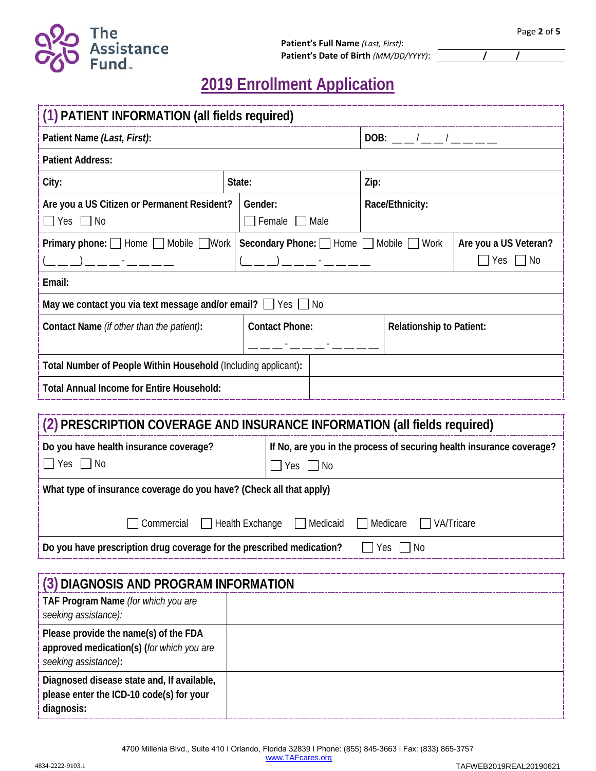

# **2019 Enrollment Application**

| (1) PATIENT INFORMATION (all fields required)                                                              |                                                                |                                                                                          |                       |                 |                                 |                                               |  |
|------------------------------------------------------------------------------------------------------------|----------------------------------------------------------------|------------------------------------------------------------------------------------------|-----------------------|-----------------|---------------------------------|-----------------------------------------------|--|
| Patient Name (Last, First):                                                                                |                                                                |                                                                                          | $DOB:$ $1$ $1$        |                 |                                 |                                               |  |
| <b>Patient Address:</b>                                                                                    |                                                                |                                                                                          |                       |                 |                                 |                                               |  |
| City:                                                                                                      | State:                                                         |                                                                                          | Zip:                  |                 |                                 |                                               |  |
| Are you a US Citizen or Permanent Resident?<br>$\Box$ No<br>  Yes                                          |                                                                | Gender:<br>$\Box$ Female<br>  Male                                                       |                       | Race/Ethnicity: |                                 |                                               |  |
| <b>Primary phone:</b> $\Box$ Home $\Box$ Mobile $\Box$ Work                                                | Secondary Phone: I Home Mobile Work<br>(__ _) _ _ _ - _ -_ _ _ |                                                                                          |                       |                 |                                 | Are you a US Veteran?<br>$\Box$ Yes $\Box$ No |  |
| Email:                                                                                                     |                                                                |                                                                                          |                       |                 |                                 |                                               |  |
| May we contact you via text message and/or email? Ves No                                                   |                                                                |                                                                                          |                       |                 |                                 |                                               |  |
| Contact Name (if other than the patient):                                                                  |                                                                |                                                                                          | <b>Contact Phone:</b> |                 | <b>Relationship to Patient:</b> |                                               |  |
| Total Number of People Within Household (Including applicant):                                             |                                                                |                                                                                          |                       |                 |                                 |                                               |  |
| <b>Total Annual Income for Entire Household:</b>                                                           |                                                                |                                                                                          |                       |                 |                                 |                                               |  |
|                                                                                                            |                                                                |                                                                                          |                       |                 |                                 |                                               |  |
| (2) PRESCRIPTION COVERAGE AND INSURANCE INFORMATION (all fields required)                                  |                                                                |                                                                                          |                       |                 |                                 |                                               |  |
| Do you have health insurance coverage?<br>$\Box$ Yes $\Box$ No                                             |                                                                | If No, are you in the process of securing health insurance coverage?<br>$\Box$ No<br>Yes |                       |                 |                                 |                                               |  |
| What type of insurance coverage do you have? (Check all that apply)                                        |                                                                |                                                                                          |                       |                 |                                 |                                               |  |
| Commercial<br><b>Health Exchange</b><br>Medicaid<br>Medicare<br><b>VA/Tricare</b>                          |                                                                |                                                                                          |                       |                 |                                 |                                               |  |
| Do you have prescription drug coverage for the prescribed medication?<br>∏ No<br>Yes                       |                                                                |                                                                                          |                       |                 |                                 |                                               |  |
| (3) DIAGNOSIS AND PROGRAM INFORMATION<br>TAF Program Name (for which you are<br>seeking assistance):       |                                                                |                                                                                          |                       |                 |                                 |                                               |  |
| Please provide the name(s) of the FDA<br>approved medication(s) (for which you are<br>seeking assistance): |                                                                |                                                                                          |                       |                 |                                 |                                               |  |
| Diagnosed disease state and, If available,<br>please enter the ICD-10 code(s) for your<br>diagnosis:       |                                                                |                                                                                          |                       |                 |                                 |                                               |  |

TAFWEB2019REAL20190621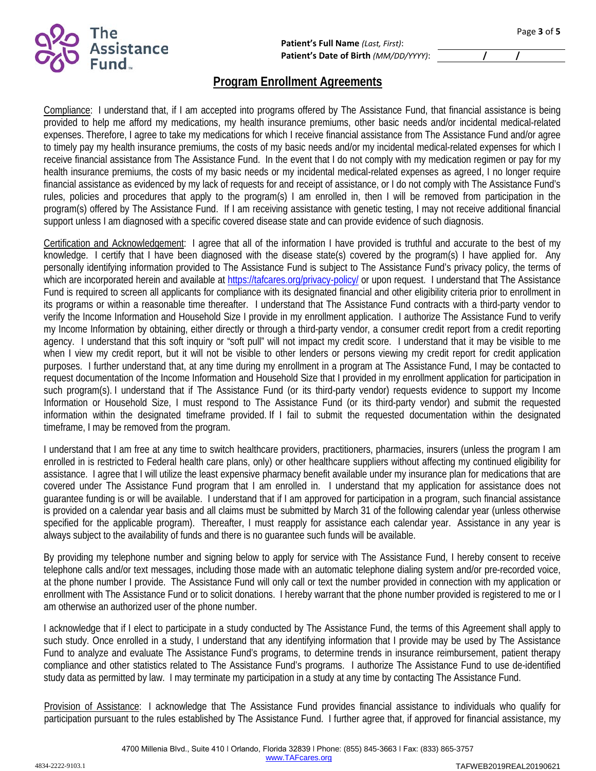

## **Program Enrollment Agreements**

Compliance: I understand that, if I am accepted into programs offered by The Assistance Fund, that financial assistance is being provided to help me afford my medications, my health insurance premiums, other basic needs and/or incidental medical-related expenses. Therefore, I agree to take my medications for which I receive financial assistance from The Assistance Fund and/or agree to timely pay my health insurance premiums, the costs of my basic needs and/or my incidental medical-related expenses for which I receive financial assistance from The Assistance Fund. In the event that I do not comply with my medication regimen or pay for my health insurance premiums, the costs of my basic needs or my incidental medical-related expenses as agreed, I no longer require financial assistance as evidenced by my lack of requests for and receipt of assistance, or I do not comply with The Assistance Fund's rules, policies and procedures that apply to the program(s) I am enrolled in, then I will be removed from participation in the program(s) offered by The Assistance Fund. If I am receiving assistance with genetic testing, I may not receive additional financial support unless I am diagnosed with a specific covered disease state and can provide evidence of such diagnosis.

Certification and Acknowledgement: I agree that all of the information I have provided is truthful and accurate to the best of my knowledge. I certify that I have been diagnosed with the disease state(s) covered by the program(s) I have applied for. Any personally identifying information provided to The Assistance Fund is subject to The Assistance Fund's privacy policy, the terms of which are incorporated herein and available at<https://tafcares.org/privacy-policy/> or upon request. I understand that The Assistance Fund is required to screen all applicants for compliance with its designated financial and other eligibility criteria prior to enrollment in its programs or within a reasonable time thereafter. I understand that The Assistance Fund contracts with a third-party vendor to verify the Income Information and Household Size I provide in my enrollment application. I authorize The Assistance Fund to verify my Income Information by obtaining, either directly or through a third-party vendor, a consumer credit report from a credit reporting agency. I understand that this soft inquiry or "soft pull" will not impact my credit score. I understand that it may be visible to me when I view my credit report, but it will not be visible to other lenders or persons viewing my credit report for credit application purposes. I further understand that, at any time during my enrollment in a program at The Assistance Fund, I may be contacted to request documentation of the Income Information and Household Size that I provided in my enrollment application for participation in such program(s). I understand that if The Assistance Fund (or its third-party vendor) requests evidence to support my Income Information or Household Size, I must respond to The Assistance Fund (or its third-party vendor) and submit the requested information within the designated timeframe provided. If I fail to submit the requested documentation within the designated timeframe, I may be removed from the program.

I understand that I am free at any time to switch healthcare providers, practitioners, pharmacies, insurers (unless the program I am enrolled in is restricted to Federal health care plans, only) or other healthcare suppliers without affecting my continued eligibility for assistance. I agree that I will utilize the least expensive pharmacy benefit available under my insurance plan for medications that are covered under The Assistance Fund program that I am enrolled in. I understand that my application for assistance does not guarantee funding is or will be available. I understand that if I am approved for participation in a program, such financial assistance is provided on a calendar year basis and all claims must be submitted by March 31 of the following calendar year (unless otherwise specified for the applicable program). Thereafter, I must reapply for assistance each calendar year. Assistance in any year is always subject to the availability of funds and there is no guarantee such funds will be available.

By providing my telephone number and signing below to apply for service with The Assistance Fund, I hereby consent to receive telephone calls and/or text messages, including those made with an automatic telephone dialing system and/or pre-recorded voice, at the phone number I provide. The Assistance Fund will only call or text the number provided in connection with my application or enrollment with The Assistance Fund or to solicit donations. I hereby warrant that the phone number provided is registered to me or I am otherwise an authorized user of the phone number.

I acknowledge that if I elect to participate in a study conducted by The Assistance Fund, the terms of this Agreement shall apply to such study. Once enrolled in a study, I understand that any identifying information that I provide may be used by The Assistance Fund to analyze and evaluate The Assistance Fund's programs, to determine trends in insurance reimbursement, patient therapy compliance and other statistics related to The Assistance Fund's programs. I authorize The Assistance Fund to use de-identified study data as permitted by law. I may terminate my participation in a study at any time by contacting The Assistance Fund.

Provision of Assistance: I acknowledge that The Assistance Fund provides financial assistance to individuals who qualify for participation pursuant to the rules established by The Assistance Fund. I further agree that, if approved for financial assistance, my

[www.TAFcares.org](http://www.tafcares.org/)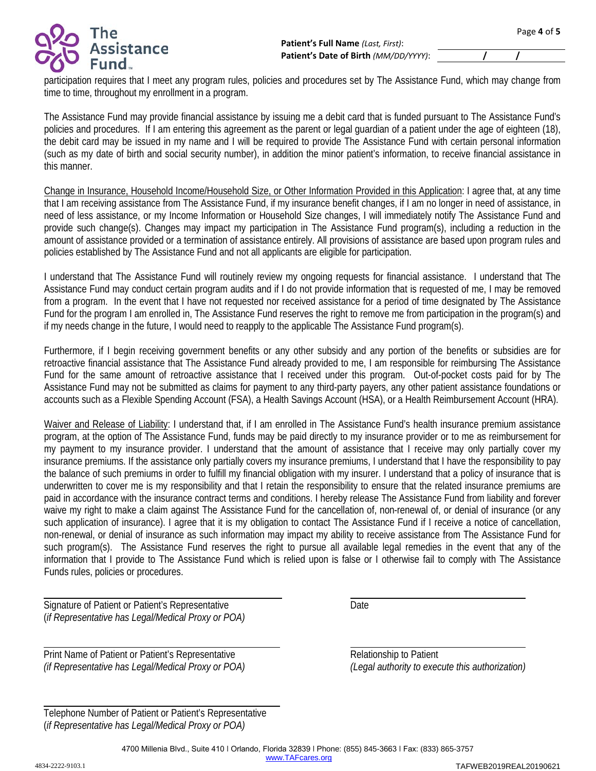

participation requires that I meet any program rules, policies and procedures set by The Assistance Fund, which may change from time to time, throughout my enrollment in a program.

The Assistance Fund may provide financial assistance by issuing me a debit card that is funded pursuant to The Assistance Fund's policies and procedures. If I am entering this agreement as the parent or legal guardian of a patient under the age of eighteen (18), the debit card may be issued in my name and I will be required to provide The Assistance Fund with certain personal information (such as my date of birth and social security number), in addition the minor patient's information, to receive financial assistance in this manner.

Change in Insurance, Household Income/Household Size, or Other Information Provided in this Application: I agree that, at any time that I am receiving assistance from The Assistance Fund, if my insurance benefit changes, if I am no longer in need of assistance, in need of less assistance, or my Income Information or Household Size changes, I will immediately notify The Assistance Fund and provide such change(s). Changes may impact my participation in The Assistance Fund program(s), including a reduction in the amount of assistance provided or a termination of assistance entirely. All provisions of assistance are based upon program rules and policies established by The Assistance Fund and not all applicants are eligible for participation.

I understand that The Assistance Fund will routinely review my ongoing requests for financial assistance. I understand that The Assistance Fund may conduct certain program audits and if I do not provide information that is requested of me, I may be removed from a program. In the event that I have not requested nor received assistance for a period of time designated by The Assistance Fund for the program I am enrolled in, The Assistance Fund reserves the right to remove me from participation in the program(s) and if my needs change in the future, I would need to reapply to the applicable The Assistance Fund program(s).

Furthermore, if I begin receiving government benefits or any other subsidy and any portion of the benefits or subsidies are for retroactive financial assistance that The Assistance Fund already provided to me, I am responsible for reimbursing The Assistance Fund for the same amount of retroactive assistance that I received under this program. Out-of-pocket costs paid for by The Assistance Fund may not be submitted as claims for payment to any third-party payers, any other patient assistance foundations or accounts such as a Flexible Spending Account (FSA), a Health Savings Account (HSA), or a Health Reimbursement Account (HRA).

Waiver and Release of Liability: I understand that, if I am enrolled in The Assistance Fund's health insurance premium assistance program, at the option of The Assistance Fund, funds may be paid directly to my insurance provider or to me as reimbursement for my payment to my insurance provider. I understand that the amount of assistance that I receive may only partially cover my insurance premiums. If the assistance only partially covers my insurance premiums, I understand that I have the responsibility to pay the balance of such premiums in order to fulfill my financial obligation with my insurer. I understand that a policy of insurance that is underwritten to cover me is my responsibility and that I retain the responsibility to ensure that the related insurance premiums are paid in accordance with the insurance contract terms and conditions. I hereby release The Assistance Fund from liability and forever waive my right to make a claim against The Assistance Fund for the cancellation of, non-renewal of, or denial of insurance (or any such application of insurance). I agree that it is my obligation to contact The Assistance Fund if I receive a notice of cancellation, non-renewal, or denial of insurance as such information may impact my ability to receive assistance from The Assistance Fund for such program(s). The Assistance Fund reserves the right to pursue all available legal remedies in the event that any of the information that I provide to The Assistance Fund which is relied upon is false or I otherwise fail to comply with The Assistance Funds rules, policies or procedures.

l

l

l

Signature of Patient or Patient's Representative **Example 2** Date (*if Representative has Legal/Medical Proxy or POA)*

Print Name of Patient or Patient's Representative **Relationship to Patient** *(if Representative has Legal/Medical Proxy or POA) (Legal authority to execute this authorization)*

| Telephone Number of Patient or Patient's Representative |
|---------------------------------------------------------|
| (if Representative has Legal/Medical Proxy or POA)      |

TAFWEB2019REAL20190621